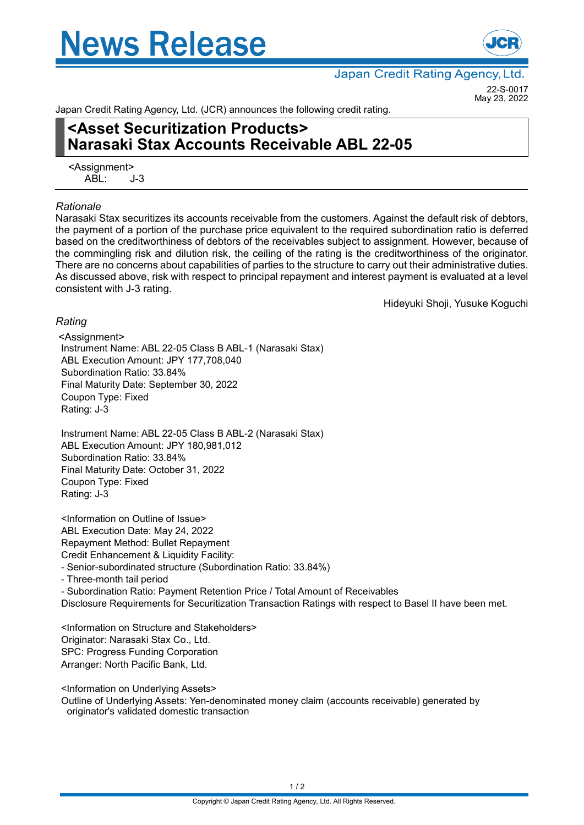# **News Release**



Japan Credit Rating Agency, Ltd.

22-S-0017 May 23, 2022

Japan Credit Rating Agency, Ltd. (JCR) announces the following credit rating.

## **<Asset Securitization Products> Narasaki Stax Accounts Receivable ABL 22-05**

<Assignment>  $ABI: J-3$ 

#### *Rationale*

Narasaki Stax securitizes its accounts receivable from the customers. Against the default risk of debtors, the payment of a portion of the purchase price equivalent to the required subordination ratio is deferred based on the creditworthiness of debtors of the receivables subject to assignment. However, because of the commingling risk and dilution risk, the ceiling of the rating is the creditworthiness of the originator. There are no concerns about capabilities of parties to the structure to carry out their administrative duties. As discussed above, risk with respect to principal repayment and interest payment is evaluated at a level consistent with J-3 rating.

Hideyuki Shoji, Yusuke Koguchi

### *Rating*

<Assignment> Instrument Name: ABL 22-05 Class B ABL-1 (Narasaki Stax) ABL Execution Amount: JPY 177,708,040 Subordination Ratio: 33.84% Final Maturity Date: September 30, 2022 Coupon Type: Fixed Rating: J-3

Instrument Name: ABL 22-05 Class B ABL-2 (Narasaki Stax) ABL Execution Amount: JPY 180,981,012 Subordination Ratio: 33.84% Final Maturity Date: October 31, 2022 Coupon Type: Fixed Rating: J-3

<Information on Outline of Issue> ABL Execution Date: May 24, 2022 Repayment Method: Bullet Repayment Credit Enhancement & Liquidity Facility: - Senior-subordinated structure (Subordination Ratio: 33.84%)

- Three-month tail period

- Subordination Ratio: Payment Retention Price / Total Amount of Receivables Disclosure Requirements for Securitization Transaction Ratings with respect to Basel II have been met.

<Information on Structure and Stakeholders> Originator: Narasaki Stax Co., Ltd. SPC: Progress Funding Corporation Arranger: North Pacific Bank, Ltd.

<Information on Underlying Assets>

Outline of Underlying Assets: Yen-denominated money claim (accounts receivable) generated by originator's validated domestic transaction